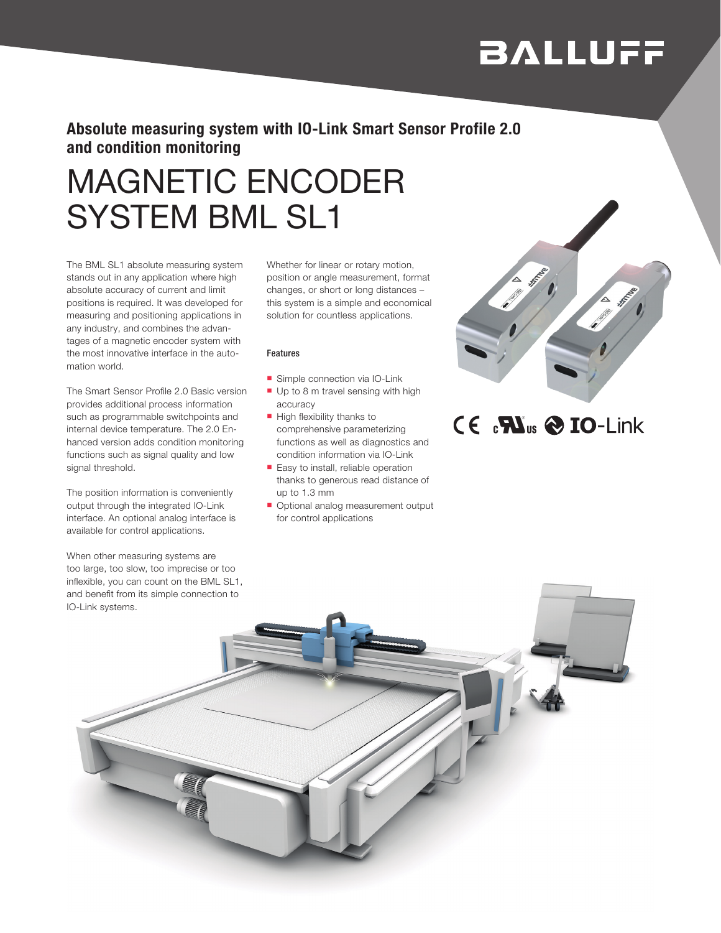# **BALLUFF**

### Absolute measuring system with IO-Link Smart Sensor Profile 2.0 and condition monitoring

# MAGNETIC ENCODER SYSTEM BML SL1

The BML SL1 absolute measuring system stands out in any application where high absolute accuracy of current and limit positions is required. It was developed for measuring and positioning applications in any industry, and combines the advantages of a magnetic encoder system with the most innovative interface in the automation world.

The Smart Sensor Profile 2.0 Basic version provides additional process information such as programmable switchpoints and internal device temperature. The 2.0 Enhanced version adds condition monitoring functions such as signal quality and low signal threshold.

The position information is conveniently output through the integrated IO-Link interface. An optional analog interface is available for control applications.

When other measuring systems are too large, too slow, too imprecise or too inflexible, you can count on the BML SL1, and benefit from its simple connection to IO-Link systems.

Whether for linear or rotary motion, position or angle measurement, format changes, or short or long distances – this system is a simple and economical solution for countless applications.

#### Features

- **n** Simple connection via IO-Link
- $\blacksquare$  Up to 8 m travel sensing with high accuracy
- $\blacksquare$  High flexibility thanks to comprehensive parameterizing functions as well as diagnostics and condition information via IO-Link
- Easy to install, reliable operation thanks to generous read distance of up to 1.3 mm
- **n** Optional analog measurement output for control applications



## $C \in C^2 \mathbf{W}_{us} \otimes \mathbf{IO}$ -Link